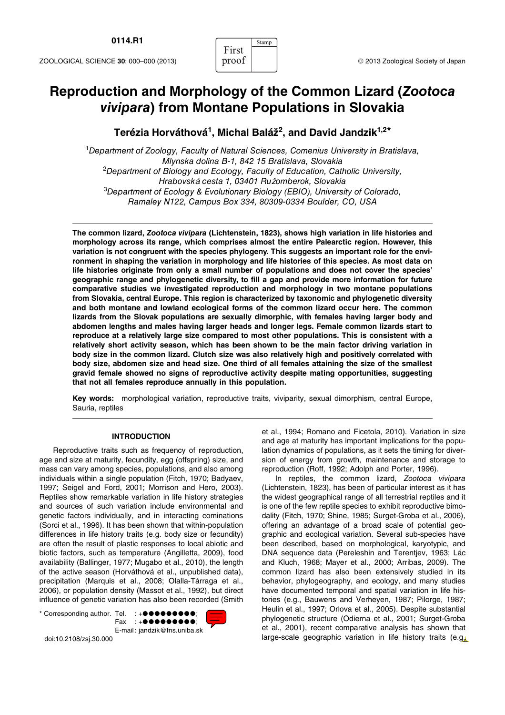# **Reproduction and Morphology of the Common Lizard (***Zootoca vivipara***) from Montane Populations in Slovakia**

First

Stamp

## **Terézia Horváthová1, Michal Baláž2, and David Jandzik1,2\***

<sup>1</sup>*Department of Zoology, Faculty of Natural Sciences, Comenius University in Bratislava, Mlynska dolina B-1, 842 15 Bratislava, Slovakia* 2 *Department of Biology and Ecology, Faculty of Education, Catholic University, Hrabovská cesta 1, 03401 Ru*ž*omberok, Slovakia* 3 *Department of Ecology & Evolutionary Biology (EBIO), University of Colorado, Ramaley N122, Campus Box 334, 80309-0334 Boulder, CO, USA*

**The common lizard,** *Zootoca vivipara* **(Lichtenstein, 1823), shows high variation in life histories and morphology across its range, which comprises almost the entire Palearctic region. However, this variation is not congruent with the species phylogeny. This suggests an important role for the environment in shaping the variation in morphology and life histories of this species. As most data on life histories originate from only a small number of populations and does not cover the species' geographic range and phylogenetic diversity, to fill a gap and provide more information for future comparative studies we investigated reproduction and morphology in two montane populations from Slovakia, central Europe. This region is characterized by taxonomic and phylogenetic diversity and both montane and lowland ecological forms of the common lizard occur here. The common lizards from the Slovak populations are sexually dimorphic, with females having larger body and abdomen lengths and males having larger heads and longer legs. Female common lizards start to reproduce at a relatively large size compared to most other populations. This is consistent with a relatively short activity season, which has been shown to be the main factor driving variation in body size in the common lizard. Clutch size was also relatively high and positively correlated with body size, abdomen size and head size. One third of all females attaining the size of the smallest gravid female showed no signs of reproductive activity despite mating opportunities, suggesting that not all females reproduce annually in this population.**

**Key words:** morphological variation, reproductive traits, viviparity, sexual dimorphism, central Europe, Sauria, reptiles

### **INTRODUCTION**

Reproductive traits such as frequency of reproduction, age and size at maturity, fecundity, egg (offspring) size, and mass can vary among species, populations, and also among individuals within a single population (Fitch, 1970; Badyaev, 1997; Seigel and Ford, 2001; Morrison and Hero, 2003). Reptiles show remarkable variation in life history strategies and sources of such variation include environmental and genetic factors individually, and in interacting cominations (Sorci et al., 1996). It has been shown that within-population differences in life history traits (e.g. body size or fecundity) are often the result of plastic responses to local abiotic and biotic factors, such as temperature (Angilletta, 2009), food availability (Ballinger, 1977; Mugabo et al., 2010), the length of the active season (Horváthová et al., unpublished data), precipitation (Marquis et al., 2008; Olalla-Tárraga et al., 2006), or population density (Massot et al., 1992), but direct influence of genetic variation has also been recorded (Smith

\* Corresponding author. Tel. : +●●●●●●●●●; Fax : +●●●●●●●●●; E-mail: jandzik@fns.uniba.sk

doi:10.2108/zsj.30.000

et al., 1994; Romano and Ficetola, 2010). Variation in size and age at maturity has important implications for the population dynamics of populations, as it sets the timing for diversion of energy from growth, maintenance and storage to reproduction (Roff, 1992; Adolph and Porter, 1996).

In reptiles, the common lizard, *Zootoca vivipara* (Lichtenstein, 1823), has been of particular interest as it has the widest geographical range of all terrestrial reptiles and it is one of the few reptile species to exhibit reproductive bimodality (Fitch, 1970; Shine, 1985; Surget-Groba et al., 2006), offering an advantage of a broad scale of potential geographic and ecological variation. Several sub-species have been described, based on morphological, karyotypic, and DNA sequence data (Pereleshin and Terentjev, 1963; Lác and Kluch, 1968; Mayer et al., 2000; Arribas, 2009). The common lizard has also been extensively studied in its behavior, phylogeography, and ecology, and many studies have documented temporal and spatial variation in life histories (e.g., Bauwens and Verheyen, 1987; Pilorge, 1987; Heulin et al., 1997; Orlova et al., 2005). Despite substantial phylogenetic structure (Odierna et al., 2001; Surget-Groba et al., 2001), recent comparative analysis has shown that large-scale geographic variation in life history traits (e.g.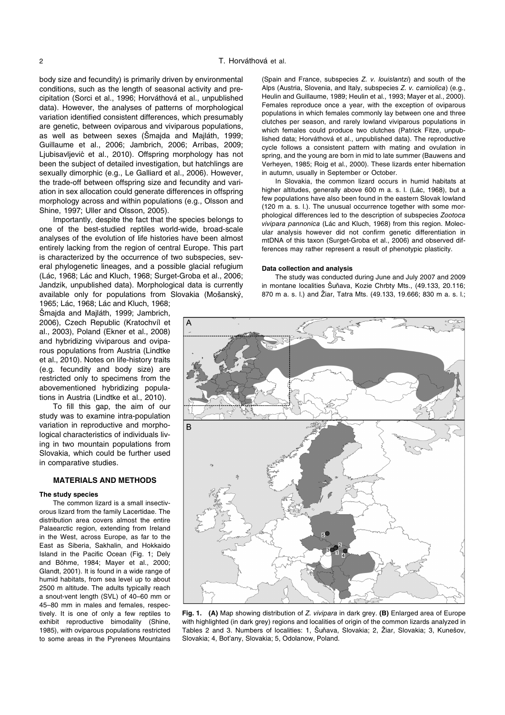body size and fecundity) is primarily driven by environmental conditions, such as the length of seasonal activity and precipitation (Sorci et al., 1996; Horváthová et al., unpublished data). However, the analyses of patterns of morphological variation identified consistent differences, which presumably are genetic, between oviparous and viviparous populations, as well as between sexes (Šmajda and Majláth, 1999; Guillaume et al., 2006; Jambrich, 2006; Arribas, 2009; Ljubisavljević et al., 2010). Offspring morphology has not been the subject of detailed investigation, but hatchlings are sexually dimorphic (e.g., Le Galliard et al., 2006). However, the trade-off between offspring size and fecundity and variation in sex allocation could generate differences in offspring morphology across and within populations (e.g., Olsson and Shine, 1997; Uller and Olsson, 2005).

Importantly, despite the fact that the species belongs to one of the best-studied reptiles world-wide, broad-scale analyses of the evolution of life histories have been almost entirely lacking from the region of central Europe. This part is characterized by the occurrence of two subspecies, several phylogenetic lineages, and a possible glacial refugium (Lác, 1968; Lác and Kluch, 1968; Surget-Groba et al., 2006; Jandzik, unpublished data). Morphological data is currently available only for populations from Slovakia (Mošanský,

1965; Lác, 1968; Lác and Kluch, 1968; Šmajda and Majláth, 1999; Jambrich, 2006), Czech Republic (Kratochvíl et al., 2003), Poland (Ekner et al., 2008) and hybridizing viviparous and oviparous populations from Austria (Lindtke et al., 2010). Notes on life-history traits (e.g. fecundity and body size) are restricted only to specimens from the abovementioned hybridizing populations in Austria (Lindtke et al., 2010).

To fill this gap, the aim of our study was to examine intra-population variation in reproductive and morphological characteristics of individuals living in two mountain populations from Slovakia, which could be further used in comparative studies.

#### **MATERIALS AND METHODS**

#### **The study species**

The common lizard is a small insectivorous lizard from the family Lacertidae. The distribution area covers almost the entire Palaearctic region, extending from Ireland in the West, across Europe, as far to the East as Siberia, Sakhalin, and Hokkaido Island in the Pacific Ocean (Fig. 1; Dely and Böhme, 1984; Mayer et al., 2000; Glandt, 2001). It is found in a wide range of humid habitats, from sea level up to about 2500 m altitude. The adults typically reach a snout-vent length (SVL) of 40–60 mm or 45–80 mm in males and females, respectively. It is one of only a few reptiles to exhibit reproductive bimodality (Shine, 1985), with oviparous populations restricted to some areas in the Pyrenees Mountains

(Spain and France, subspecies *Z. v. louislantzi*) and south of the Alps (Austria, Slovenia, and Italy, subspecies *Z. v. carniolica*) (e.g., Heulin and Guillaume, 1989; Heulin et al., 1993; Mayer et al., 2000). Females reproduce once a year, with the exception of oviparous populations in which females commonly lay between one and three clutches per season, and rarely lowland viviparous populations in which females could produce two clutches (Patrick Fitze, unpublished data; Horváthová et al., unpublished data). The reproductive cycle follows a consistent pattern with mating and ovulation in spring, and the young are born in mid to late summer (Bauwens and Verheyen, 1985; Roig et al., 2000). These lizards enter hibernation in autumn, usually in September or October.

In Slovakia, the common lizard occurs in humid habitats at higher altitudes, generally above 600 m a. s. l. (Lác, 1968), but a few populations have also been found in the eastern Slovak lowland (120 m a. s. l.). The unusual occurrence together with some morphological differences led to the description of subspecies *Zootoca vivipara pannonica* (Lác and Kluch, 1968) from this region. Molecular analysis however did not confirm genetic differentiation in mtDNA of this taxon (Surget-Groba et al., 2006) and observed differences may rather represent a result of phenotypic plasticity.

#### **Data collection and analysis**

The study was conducted during June and July 2007 and 2009 in montane localities Šuňava, Kozie Chrbty Mts., (49.133, 20.116; 870 m a. s. l.) and Žiar, Tatra Mts. (49.133, 19.666; 830 m a. s. l.;



**Fig. 1. (A)** Map showing distribution of *Z. vivipara* in dark grey. **(B)** Enlarged area of Europe with highlighted (in dark grey) regions and localities of origin of the common lizards analyzed in Tables 2 and 3. Numbers of localities: 1, Šuňava, Slovakia; 2, Žiar, Slovakia; 3, Kunešov, Slovakia; 4, Bot'any, Slovakia; 5, Odolanow, Poland.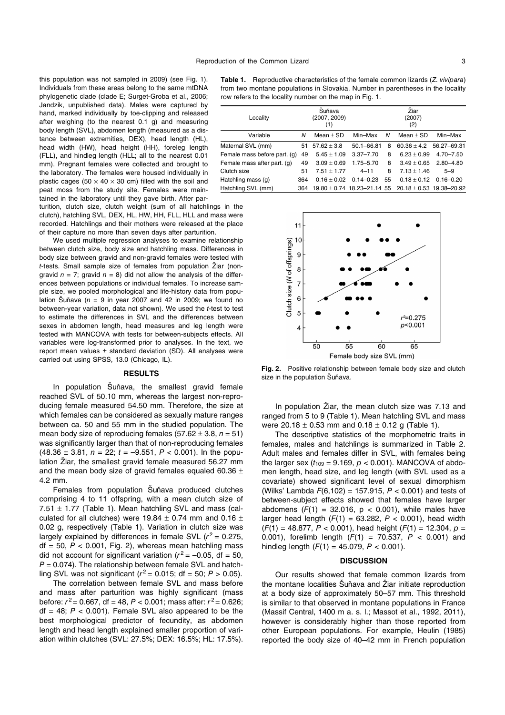this population was not sampled in 2009) (see Fig. 1). Individuals from these areas belong to the same mtDNA phylogenetic clade (clade E; Surget-Groba et al., 2006; Jandzik, unpublished data). Males were captured by hand, marked individually by toe-clipping and released after weighing (to the nearest 0.1 g) and measuring body length (SVL), abdomen length (measured as a distance between extremities, DEX), head length (HL), head width (HW), head height (HH), foreleg length (FLL), and hindleg length (HLL; all to the nearest 0.01 mm). Pregnant females were collected and brought to the laboratory. The females were housed individually in plastic cages (50  $\times$  40  $\times$  30 cm) filled with the soil and peat moss from the study site. Females were maintained in the laboratory until they gave birth. After par-

turition, clutch size, clutch weight (sum of all hatchlings in the clutch), hatchling SVL, DEX, HL, HW, HH, FLL, HLL and mass were recorded. Hatchlings and their mothers were released at the place of their capture no more than seven days after parturition.

We used multiple regression analyses to examine relationship between clutch size, body size and hatchling mass. Differences in body size between gravid and non-gravid females were tested with *t*-tests. Small sample size of females from population Žiar (nongravid  $n = 7$ ; gravid  $n = 8$ ) did not allow the analysis of the differences between populations or individual females. To increase sample size, we pooled morphological and life-history data from population Šuňava ( $n = 9$  in year 2007 and 42 in 2009; we found no between-year variation, data not shown). We used the *t*-test to test to estimate the differences in SVL and the differences between sexes in abdomen length, head measures and leg length were tested with MANCOVA with tests for between-subjects effects. All variables were log-transformed prior to analyses. In the text, we report mean values  $\pm$  standard deviation (SD). All analyses were carried out using SPSS, 13.0 (Chicago, IL).

#### **RESULTS**

In population Šuňava, the smallest gravid female reached SVL of 50.10 mm, whereas the largest non-reproducing female measured 54.50 mm. Therefore, the size at which females can be considered as sexually mature ranges between ca. 50 and 55 mm in the studied population. The mean body size of reproducing females  $(57.62 \pm 3.8, n = 51)$ was significantly larger than that of non-reproducing females (48.36 ± 3.81, *n* = 22; *t* = –9.551, *P* < 0.001). In the population Žiar, the smallest gravid female measured 56.27 mm and the mean body size of gravid females equaled 60.36  $\pm$ 4.2 mm.

Females from population Šuňava produced clutches comprising 4 to 11 offspring, with a mean clutch size of 7.51  $\pm$  1.77 (Table 1). Mean hatchling SVL and mass (calculated for all clutches) were 19.84  $\pm$  0.74 mm and 0.16  $\pm$ 0.02 g, respectively (Table 1). Variation in clutch size was largely explained by differences in female SVL  $(r^2 = 0.275,$  $df = 50$ ,  $P < 0.001$ , Fig. 2), whereas mean hatchling mass did not account for significant variation ( $r^2$  = -0.05, df = 50, *P* = 0.074). The relationship between female SVL and hatchling SVL was not significant ( $r^2$  = 0.015; df = 50;  $P > 0.05$ ).

The correlation between female SVL and mass before and mass after parturition was highly significant (mass before:  $r^2$  = 0.667, df = 48,  $P < 0.001$ ; mass after:  $r^2$  = 0.626;  $df = 48$ ;  $P < 0.001$ ). Female SVL also appeared to be the best morphological predictor of fecundity, as abdomen length and head length explained smaller proportion of variation within clutches (SVL: 27.5%; DEX: 16.5%; HL: 17.5%).

**Table 1.** Reproductive characteristics of the female common lizards (*Z. vivipara*) from two montane populations in Slovakia. Number in parentheses in the locality row refers to the locality number on the map in Fig. 1.

| Locality                     |     | Šuňava<br>(2007, 2009)<br>(1) |                |    | Žiar<br>(2007)<br>(2)                                        |               |  |  |
|------------------------------|-----|-------------------------------|----------------|----|--------------------------------------------------------------|---------------|--|--|
| Variable                     | Ν   | Mean $\pm$ SD                 | Min-Max        | N  | Mean $\pm$ SD                                                | Min-Max       |  |  |
| Maternal SVL (mm)            | 51  | $57.62 \pm 3.8$               | $50.1 - 66.81$ | 8  | $60.36 \pm 4.2$                                              | 56.27-69.31   |  |  |
| Female mass before part. (g) | 49  | $5.45 \pm 1.09$               | $3.37 - 7.70$  | 8  | $6.23 \pm 0.99$                                              | $4.70 - 7.50$ |  |  |
| Female mass after part. (g)  | 49  | $3.09 \pm 0.69$               | $1.75 - 5.70$  | 8  | $3.49 \pm 0.65$                                              | $2.80 - 4.80$ |  |  |
| Clutch size                  | 51  | $7.51 + 1.77$                 | $4 - 11$       | 8  | $7.13 \pm 1.46$                                              | $5 - 9$       |  |  |
| Hatchling mass (g)           | 364 | $0.16 \pm 0.02$               | $0.14 - 0.23$  | 55 | $0.18 \pm 0.12$                                              | $0.16 - 0.20$ |  |  |
| Hatchling SVL (mm)           | 364 |                               |                |    | $19.80 \pm 0.74$ 18.23-21.14 55 20.18 $\pm$ 0.53 19.38-20.92 |               |  |  |



**Fig. 2.** Positive relationship between female body size and clutch size in the population Šuňava.

In population Žiar, the mean clutch size was 7.13 and ranged from 5 to 9 (Table 1). Mean hatchling SVL and mass were  $20.18 \pm 0.53$  mm and  $0.18 \pm 0.12$  g (Table 1).

The descriptive statistics of the morphometric traits in females, males and hatchlings is summarized in Table 2. Adult males and females differ in SVL, with females being the larger sex  $(t_{109} = 9.169, p < 0.001)$ . MANCOVA of abdomen length, head size, and leg length (with SVL used as a covariate) showed significant level of sexual dimorphism (Wilks' Lambda *F*(6,102) = 157.915, *P* < 0.001) and tests of between-subject effects showed that females have larger abdomens  $(F(1) = 32.016, p < 0.001)$ , while males have larger head length  $(F(1) = 63.282, P < 0.001)$ , head width (*F*(1) = 48.877, *P* < 0.001), head height (*F*(1) = 12.304, *p* = 0.001), forelimb length (*F*(1) = 70.537, *P* < 0.001) and hindleg length (*F*(1) = 45.079, *P* < 0.001).

#### **DISCUSSION**

Our results showed that female common lizards from the montane localities Šuňava and Žiar initiate reproduction at a body size of approximately 50–57 mm. This threshold is similar to that observed in montane populations in France (Massif Central, 1400 m a. s. l.; Massot et al., 1992, 2011), however is considerably higher than those reported from other European populations. For example, Heulin (1985) reported the body size of 40–42 mm in French population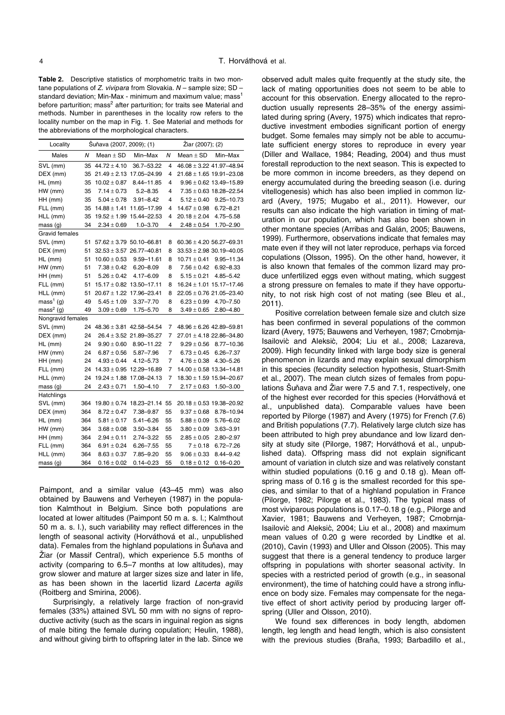**Table 2.** Descriptive statistics of morphometric traits in two montane populations of *Z. vivipara* from Slovakia. *N* – sample size; SD – standard deviation; Min-Max - minimum and maximum value; mass<sup>1</sup> before parturition; mass<sup>2</sup> after parturition; for traits see Material and methods. Number in parentheses in the locality row refers to the locality number on the map in Fig. 1. See Material and methods for the abbreviations of the morphological characters.

| Locality              |     | Šuňava (2007, 2009); (1) |                              | Žiar (2007); (2) |                              |                              |  |  |
|-----------------------|-----|--------------------------|------------------------------|------------------|------------------------------|------------------------------|--|--|
| Males                 | N   | Mean $\pm$ SD            | Min-Max                      | N                | Mean $\pm$ SD                | Min-Max                      |  |  |
| SVL (mm)              | 35  | $44.72 \pm 4.10$         | 36.7-53.22                   | 4                |                              | $46.08 \pm 3.22$ 41.97-48.94 |  |  |
| DEX (mm)              | 35  |                          | $21.49 \pm 2.13$ 17.05-24.99 | 4                |                              | $21.68 \pm 1.65$ 19.91-23.08 |  |  |
| $HL$ (mm)             | 35  | $10.02 \pm 0.87$         | 8.44-11.85                   | 4                |                              | $9.96 \pm 0.62$ 13.49-15.89  |  |  |
| HW (mm)               | 35  | $7.14 \pm 0.73$          | $5.2 - 8.35$                 | 4                |                              | $7.35 \pm 0.63$ 18.28-22.54  |  |  |
| HH (mm)               | 35  | $5.04 \pm 0.78$          | $3.91 - 8.42$                | 4                | $5.12 \pm 0.40$              | $9.25 - 10.73$               |  |  |
| FLL (mm)              | 35  | $14.88 \pm 1.41$         | 11.65-17.99                  | 4                | $14.67 \pm 0.98$             | $6.72 - 8.21$                |  |  |
| HLL (mm)              | 35  | $19.52 \pm 1.99$         | 15.44-22.53                  | 4                | $20.18 \pm 2.04$             | 4.75-5.58                    |  |  |
| mass (g)              | 34  | $2.34 \pm 0.69$          | $1.0 - 3.70$                 | 4                | $2.48 \pm 0.54$              | $1.70 - 2.90$                |  |  |
| Gravid females        |     |                          |                              |                  |                              |                              |  |  |
| SVL (mm)              | 51  |                          | $57.62 \pm 3.79$ 50.10-66.81 | 8                | $60.36 \pm 4.20$ 56.27-69.31 |                              |  |  |
| DEX (mm)              | 51  |                          | $32.53 \pm 3.57$ 26.77-40.81 | 8                | $33.53 \pm 2.98$ 30.19-40.05 |                              |  |  |
| HL (mm)               | 51  | $10.60 \pm 0.53$         | 9.59-11.61                   | 8                | $10.71 \pm 0.41$             | 9.95-11.34                   |  |  |
| HW (mm)               | 51  | $7.38 \pm 0.42$          | $6.20 - 8.09$                | 8                | $7.56 \pm 0.42$              | 6.92-8.33                    |  |  |
| HH (mm)               | 51  | $5.26 \pm 0.42$          | 4.17-6.09                    | 8                | $5.15 \pm 0.21$              | $4.85 - 5.42$                |  |  |
| FLL (mm)              | 51  | $15.17 \pm 0.82$         | 13.50-17.11                  | 8                |                              | $16.24 \pm 1.01$ 15.17-17.46 |  |  |
| HLL (mm)              | 51  | $20.67 \pm 1.22$         | 17.96-23.41                  | 8                |                              | $22.05 \pm 0.76$ 21.05-23.40 |  |  |
| $mass1$ (g)           | 49  | $5.45 \pm 1.09$          | $3.37 - 7.70$                | 8                | $6.23 \pm 0.99$              | 4.70-7.50                    |  |  |
| mass <sup>2</sup> (g) | 49  | $3.09 \pm 0.69$          | 1.75-5.70                    | 8                | $3.49 \pm 0.65$              | $2.80 - 4.80$                |  |  |
| Nongravid females     |     |                          |                              |                  |                              |                              |  |  |
| SVL (mm)              | 24  |                          | $48.36 \pm 3.81$ 42.58-54.54 | 7                | $48.96 \pm 6.26$ 42.89-59.81 |                              |  |  |
| DEX (mm)              | 24  |                          | $26.4 \pm 3.52$ 21.89-35.27  | 7                |                              | $27.01 \pm 4.18$ 22.86-34.80 |  |  |
| $HL$ (mm)             | 24  | $9.90 \pm 0.60$          | 8.90-11.22                   | 7                | $9.29 \pm 0.56$              | $8.77 - 10.36$               |  |  |
| HW (mm)               | 24  | $6.87 \pm 0.56$          | $5.87 - 7.96$                | 7                | $6.73 \pm 0.45$              | $6.26 - 7.37$                |  |  |
| HH (mm)               | 24  | $4.93 \pm 0.44$          | $4.12 - 5.73$                | 7                | $4.76 \pm 0.38$              | $4.30 - 5.26$                |  |  |
| FLL (mm)              | 24  | $14.33 \pm 0.95$         | 12.29-16.89                  | 7                |                              | $14.00 \pm 0.58$ 13.34-14.81 |  |  |
| HLL (mm)              | 24  | $19.24 \pm 1.88$         | 17.08-24.13                  | 7                |                              | $18.30 \pm 1.59$ 15.94-20.67 |  |  |
| mass <sub>(g)</sub>   | 24  | $2.43 \pm 0.71$          | $1.50 - 4.10$                | 7                | $2.17 \pm 0.63$              | $1.50 - 3.00$                |  |  |
| Hatchlings            |     |                          |                              |                  |                              |                              |  |  |
| SVL (mm)              | 364 | $19.80 \pm 0.74$         | 18.23-21.14                  | 55               |                              | $20.18 \pm 0.53$ 19.38-20.92 |  |  |
| DEX (mm)              | 364 | $8.72 \pm 0.47$          | 7.38-9.87                    | 55               | $9.37 \pm 0.68$              | 8.78-10.94                   |  |  |
| HL (mm)               | 364 | $5.81 \pm 0.17$          | $5.41 - 6.26$                | 55               | $5.88 \pm 0.09$              | 5.76-6.02                    |  |  |
| HW (mm)               | 364 | $3.68 \pm 0.08$          | $3.50 - 3.84$                | 55               | $3.80 \pm 0.09$              | $3.63 - 3.91$                |  |  |
| HH (mm)               | 364 | $2.94 \pm 0.11$          | $2.74 - 3.22$                | 55               | $2.85 \pm 0.05$              | 2.80-2.97                    |  |  |
| FLL (mm)              | 364 | $6.91 \pm 0.24$          | $6.26 - 7.55$                | 55               | $7 + 0.18$                   | $6.72 - 7.26$                |  |  |
| HLL (mm)              | 364 | $8.63 \pm 0.37$          | 7.85-9.20                    | 55               | $9.06 \pm 0.33$              | $8.44 - 9.42$                |  |  |
| mass (g)              | 364 | $0.16 \pm 0.02$          | $0.14 - 0.23$                | 55               | $0.18 \pm 0.12$              | $0.16 - 0.20$                |  |  |

Paimpont, and a similar value (43–45 mm) was also obtained by Bauwens and Verheyen (1987) in the population Kalmthout in Belgium. Since both populations are located at lower altitudes (Paimpont 50 m a. s. l.; Kalmthout 50 m a. s. l.), such variability may reflect differences in the length of seasonal activity (Horváthová et al., unpublished data). Females from the highland populations in Šuňava and Žiar (or Massif Central), which experience 5.5 months of activity (comparing to 6.5–7 months at low altitudes), may grow slower and mature at larger sizes size and later in life, as has been shown in the lacertid lizard *Lacerta agilis* (Roitberg and Smirina, 2006).

Surprisingly, a relatively large fraction of non-gravid females (33%) attained SVL 50 mm with no signs of reproductive activity (such as the scars in inguinal region as signs of male biting the female during copulation; Heulin, 1988), and without giving birth to offspring later in the lab. Since we

observed adult males quite frequently at the study site, the lack of mating opportunities does not seem to be able to account for this observation. Energy allocated to the reproduction usually represents 28–35% of the energy assimilated during spring (Avery, 1975) which indicates that reproductive investment embodies significant portion of energy budget. Some females may simply not be able to accumulate sufficient energy stores to reproduce in every year (Diller and Wallace, 1984; Reading, 2004) and thus must forestall reproduction to the next season. This is expected to be more common in income breeders, as they depend on energy accumulated during the breeding season (i.e. during vitellogenesis) which has also been implied in common lizard (Avery, 1975; Mugabo et al., 2011). However, our results can also indicate the high variation in timing of maturation in our population, which has also been shown in other montane species (Arribas and Galán, 2005; Bauwens, 1999). Furthermore, observations indicate that females may mate even if they will not later reproduce, perhaps via forced copulations (Olsson, 1995). On the other hand, however, it is also known that females of the common lizard may produce unfertilized eggs even without mating, which suggest a strong pressure on females to mate if they have opportunity, to not risk high cost of not mating (see Bleu et al., 2011).

Positive correlation between female size and clutch size has been confirmed in several populations of the common lizard (Avery, 1975; Bauwens and Verheyen, 1987; Crnobrnja-Isailović and Aleksić, 2004; Liu et al., 2008; Lazareva, 2009). High fecundity linked with large body size is general phenomenon in lizards and may explain sexual dimorphism in this species (fecundity selection hypothesis, Stuart-Smith et al., 2007). The mean clutch sizes of females from populations Šuňava and Žiar were 7.5 and 7.1, respectively, one of the highest ever recorded for this species (Horváthová et al., unpublished data). Comparable values have been reported by Pilorge (1987) and Avery (1975) for French (7.6) and British populations (7.7). Relatively large clutch size has been attributed to high prey abundance and low lizard density at study site (Pilorge, 1987; Horváthová et al., unpublished data). Offspring mass did not explain significant amount of variation in clutch size and was relatively constant within studied populations (0.16 g and 0.18 g). Mean offspring mass of 0.16 g is the smallest recorded for this species, and similar to that of a highland population in France (Pilorge, 1982; Pilorge et al., 1983). The typical mass of most viviparous populations is 0.17–0.18 g (e.g., Pilorge and Xavier, 1981; Bauwens and Verheyen, 1987; Crnobrnja-Isailović and Aleksić, 2004; Liu et al., 2008) and maximum mean values of 0.20 g were recorded by Lindtke et al. (2010), Cavin (1993) and Uller and Olsson (2005). This may suggest that there is a general tendency to produce larger offspring in populations with shorter seasonal activity. In species with a restricted period of growth (e.g., in seasonal environment), the time of hatching could have a strong influence on body size. Females may compensate for the negative effect of short activity period by producing larger offspring (Uller and Olsson, 2010).

We found sex differences in body length, abdomen length, leg length and head length, which is also consistent with the previous studies (Braña, 1993; Barbadillo et al.,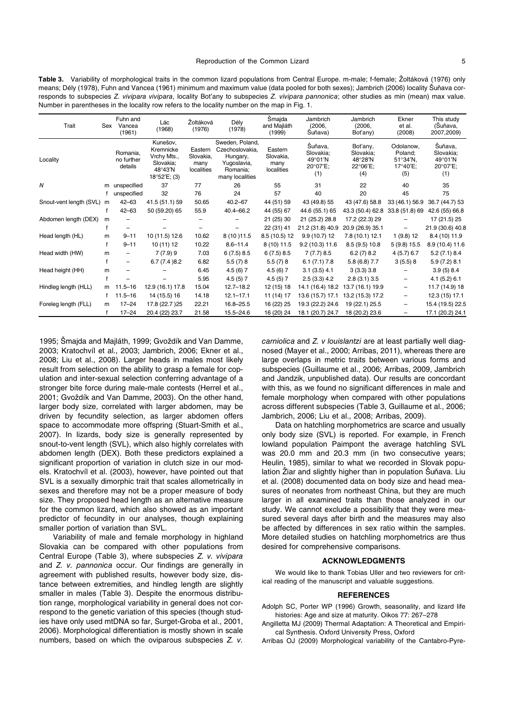**Table 3.** Variability of morphological traits in the common lizard populations from Central Europe. m-male; f-female; Žoltáková (1976) only means; Dély (1978), Fuhn and Vancea (1961) minimum and maximum value (data pooled for both sexes); Jambrich (2006) locality Šuňava corresponds to subspecies *Z. vivipara vivipara*, locality Bot'any to subspecies *Z. vivipara pannonica*; other studies as min (mean) max value. Number in parentheses in the locality row refers to the locality number on the map in Fig. 1.

| Trait                   | Sex | Fuhn and<br>Vancea<br>(1961)      | Lác<br>(1968)                                                                   | Žoltáková<br>(1976)                        | Dély<br>(1978)                                                                               | Šmajda<br>and Majláth<br>(1999)            | Jambrich<br>(2006,<br>Suňava)                      | Jambrich<br>(2006,<br>Bot'any)                      | Ekner<br>et al.<br>(2008)                                             | This study<br>(Suňava,<br>2007,2009)               |
|-------------------------|-----|-----------------------------------|---------------------------------------------------------------------------------|--------------------------------------------|----------------------------------------------------------------------------------------------|--------------------------------------------|----------------------------------------------------|-----------------------------------------------------|-----------------------------------------------------------------------|----------------------------------------------------|
| Locality                |     | Romania,<br>no further<br>details | Kunešov,<br>Kremnicke<br>Vrchy Mts.,<br>Slovakia;<br>48°43'N<br>$18°52'E$ ; (3) | Eastern<br>Slovakia,<br>many<br>localities | Sweden, Poland,<br>Czechoslovakia.<br>Hungary,<br>Yugoslavia,<br>Romania;<br>many localities | Eastern<br>Slovakia,<br>many<br>localities | Šuňava,<br>Slovakia:<br>49°01′N<br>20°07'E;<br>(1) | Bot'any,<br>Slovakia:<br>48°28'N<br>22°06'E;<br>(4) | Odolanow.<br>Poland:<br>$51^{\circ}34^{\prime}N$ .<br>17°40'E;<br>(5) | Šuňava,<br>Slovakia:<br>49°01′N<br>20°07'E;<br>(1) |
| Ν                       | m   | unspecified                       | 37                                                                              | 77                                         | 26                                                                                           | 55                                         | 31                                                 | 22                                                  | 40                                                                    | 35                                                 |
|                         |     | unspecified                       | 32                                                                              | 76                                         | 24                                                                                           | 57                                         | 40                                                 | 20                                                  | 45                                                                    | 75                                                 |
| Snout-vent length (SVL) | m   | $42 - 63$                         | 41.5 (51.1) 59                                                                  | 50.65                                      | $40.2 - 67$                                                                                  | 44 (51) 59                                 | 43 (49.8) 55                                       | 43 (47.6) 58.8                                      | 33 (46.1) 56.9                                                        | 36.7 (44.7) 53                                     |
|                         |     | $42 - 63$                         | 50 (59.20) 65                                                                   | 55.9                                       | 40.4-66.2                                                                                    | 44 (55) 67                                 | 44.6 (55.1) 65                                     | 43.3 (50.4) 62.8                                    | 33.8 (51.8) 69                                                        | 42.6 (55) 66.8                                     |
| Abdomen length (DEX)    | m   |                                   |                                                                                 |                                            |                                                                                              | 21 (25) 30                                 | 21 (25.2) 28.8                                     | 17.2 (22.3) 29                                      |                                                                       | 17 (21.5) 25                                       |
|                         |     |                                   |                                                                                 |                                            |                                                                                              | 22 (31) 41                                 | 21.2 (31.8) 40.9                                   | 20.9 (26.9) 35.1                                    |                                                                       | 21.9 (30.6) 40.8                                   |
| Head length (HL)        | m   | $9 - 11$                          | 10 (11.5) 12.6                                                                  | 10.62                                      | 8 (10 ) 11.5                                                                                 | 8.5 (10.5) 12                              | $9.9(10.7)$ 12                                     | 7.8 (10.1) 12.1                                     | 1(9.8)12                                                              | 8.4 (10) 11.9                                      |
|                         |     | $9 - 11$                          | 10(11)12                                                                        | 10.22                                      | $8.6 - 11.4$                                                                                 | 8 (10) 11.5                                | 9.2(10.3)11.6                                      | 8.5(9.5)10.8                                        | 5(9.8) 15.5                                                           | 8.9 (10.4) 11.6                                    |
| Head width (HW)         | m   |                                   | 7(7.9)9                                                                         | 7.03                                       | 6(7.5)8.5                                                                                    | 6(7.5)8.5                                  | 7(7.7)8.5                                          | 6.2(7)8.2                                           | $4(5.7)$ 6.7                                                          | 5.2(7.1)8.4                                        |
|                         | f   | -                                 | 6.7(7.4)8.2                                                                     | 6.82                                       | 5.5(7)8                                                                                      | 5.5(7)8                                    | 6.1(7.1)7.8                                        | $5.8(6.8)$ 7.7                                      | 3(5.5)8                                                               | 5.9(7.2)8.1                                        |
| Head height (HH)        | m   |                                   |                                                                                 | 6.45                                       | 4.5(6)7                                                                                      | 4.5(6)7                                    | 3.1(3.5)4.1                                        | 3(3.3)3.8                                           |                                                                       | 3.9(5)8.4                                          |
|                         |     |                                   |                                                                                 | 5.95                                       | 4.5(5)7                                                                                      | 4.5(5)7                                    | 2.5(3.3)4.2                                        | 2.8(3.1)3.5                                         | -                                                                     | 4.1(5.2)6.1                                        |
| Hindleg length (HLL)    | m   | $11.5 - 16$                       | 12.9 (16.1) 17.8                                                                | 15.04                                      | $12.7 - 18.2$                                                                                | 12 (15) 18                                 | 14.1 (16.4) 18.2                                   | 13.7 (16.1) 19.9                                    | $\qquad \qquad -$                                                     | 11.7 (14.9) 18                                     |
|                         | f.  | $11.5 - 16$                       | 14 (15.5) 16                                                                    | 14.18                                      | $12.1 - 17.1$                                                                                | 11 (14) 17                                 | 13.6 (15.7) 17.1                                   | 13.2 (15.3) 17.2                                    | -                                                                     | 12.3 (15) 17.1                                     |
| Foreleg length (FLL)    | m   | $17 - 24$                         | 17.8 (22.7) 25                                                                  | 22.21                                      | $16.8 - 25.5$                                                                                | 16 (22) 25                                 | 19.3 (22.2) 24.6                                   | 19 (22.1) 25.5                                      | -                                                                     | 15.4 (19.5) 22.5                                   |
|                         |     | $17 - 24$                         | 20.4 (22) 23.7                                                                  | 21.58                                      | $15.5 - 24.6$                                                                                | 16 (20) 24                                 | 18.1 (20.7) 24.7                                   | 18 (20.2) 23.6                                      | -                                                                     | 17.1 (20.2) 24.1                                   |

1995; Šmajda and Majláth, 1999; Gvoždík and Van Damme, 2003; Kratochvíl et al., 2003; Jambrich, 2006; Ekner et al., 2008; Liu et al., 2008). Larger heads in males most likely result from selection on the ability to grasp a female for copulation and inter-sexual selection conferring advantage of a stronger bite force during male-male contests (Herrel et al., 2001; Gvoždík and Van Damme, 2003). On the other hand, larger body size, correlated with larger abdomen, may be driven by fecundity selection, as larger abdomen offers space to accommodate more offspring (Stuart-Smith et al., 2007). In lizards, body size is generally represented by snout-to-vent length (SVL), which also highly correlates with abdomen length (DEX). Both these predictors explained a significant proportion of variation in clutch size in our models. Kratochvíl et al. (2003), however, have pointed out that SVL is a sexually dimorphic trait that scales allometrically in sexes and therefore may not be a proper measure of body size. They proposed head length as an alternative measure for the common lizard, which also showed as an important predictor of fecundity in our analyses, though explaining smaller portion of variation than SVL.

Variability of male and female morphology in highland Slovakia can be compared with other populations from Central Europe (Table 3), where subspecies *Z. v. vivipara* and *Z. v. pannonica* occur. Our findings are generally in agreement with published results, however body size, distance between extremities, and hindleg length are slightly smaller in males (Table 3). Despite the enormous distribution range, morphological variability in general does not correspond to the genetic variation of this species (though studies have only used mtDNA so far, Surget-Groba et al., 2001, 2006). Morphological differentiation is mostly shown in scale numbers, based on which the oviparous subspecies *Z. v.* 

*carniolica* and *Z. v louislantzi* are at least partially well diagnosed (Mayer et al., 2000; Arribas, 2011), whereas there are large overlaps in metric traits between various forms and subspecies (Guillaume et al., 2006; Arribas, 2009, Jambrich and Jandzik, unpublished data). Our results are concordant with this, as we found no significant differences in male and female morphology when compared with other populations across different subspecies (Table 3, Guillaume et al., 2006; Jambrich, 2006; Liu et al., 2008; Arribas, 2009).

Data on hatchling morphometrics are scarce and usually only body size (SVL) is reported. For example, in French lowland population Paimpont the average hatchling SVL was 20.0 mm and 20.3 mm (in two consecutive years; Heulin, 1985), similar to what we recorded in Slovak population Žiar and slightly higher than in population Šuňava. Liu et al. (2008) documented data on body size and head measures of neonates from northeast China, but they are much larger in all examined traits than those analyzed in our study. We cannot exclude a possibility that they were measured several days after birth and the measures may also be affected by differences in sex ratio within the samples. More detailed studies on hatchling morphometrics are thus desired for comprehensive comparisons.

#### **ACKNOWLEDGMENTS**

We would like to thank Tobias Uller and two reviewers for critical reading of the manuscript and valuable suggestions.

#### **REFERENCES**

- Adolph SC, Porter WP (1996) Growth, seasonality, and lizard life histories: Age and size at maturity. Oikos 77: 267–278
- Angilletta MJ (2009) Thermal Adaptation: A Theoretical and Empirical Synthesis. Oxford University Press, Oxford
- Arribas OJ (2009) Morphological variability of the Cantabro-Pyre-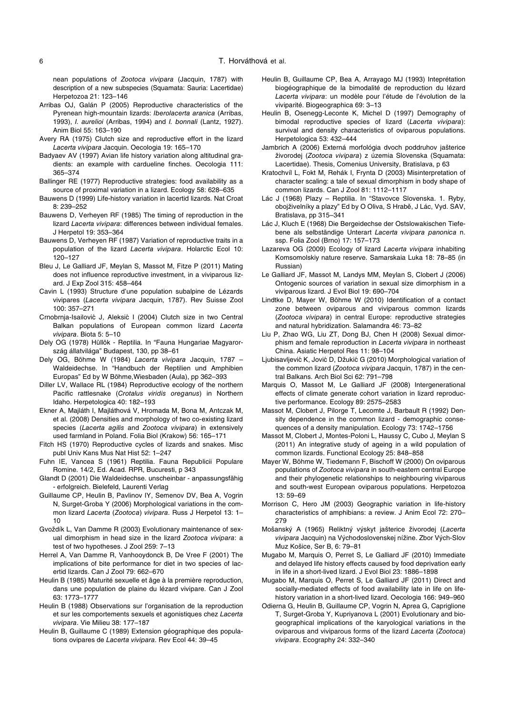nean populations of *Zootoca vivipara* (Jacquin, 1787) with description of a new subspecies (Squamata: Sauria: Lacertidae) Herpetozoa 21: 123–146

- Arribas OJ, Galán P (2005) Reproductive characteristics of the Pyrenean high-mountain lizards: *Iberolacerta aranica* (Arribas, 1993), *I. aurelioi* (Arribas, 1994) and *I. bonnali* (Lantz, 1927). Anim Biol 55: 163–190
- Avery RA (1975) Clutch size and reproductive effort in the lizard *Lacerta vivipara* Jacquin. Oecologia 19: 165–170
- Badyaev AV (1997) Avian life history variation along altitudinal gradients: an example with cardueline finches. Oecologia 111: 365–374
- Ballinger RE (1977) Reproductive strategies: food availability as a source of proximal variation in a lizard. Ecology 58: 628–635
- Bauwens D (1999) Life-history variation in lacertid lizards. Nat Croat 8: 239–252
- Bauwens D, Verheyen RF (1985) The timing of reproduction in the lizard *Lacerta vivipara*: differences between individual females. J Herpetol 19: 353–364
- Bauwens D, Verheyen RF (1987) Variation of reproductive traits in a population of the lizard *Lacerta vivipara*. Holarctic Ecol 10: 120–127
- Bleu J, Le Galliard JF, Meylan S, Massot M, Fitze P (2011) Mating does not influence reproductive investment, in a viviparous lizard. J Exp Zool 315: 458–464
- Cavin L (1993) Structure d'une population subalpine de Lézards vivipares (*Lacerta vivipara* Jacquin, 1787). Rev Suisse Zool 100: 357–271
- Crnobrnja-Isailović J, Aleksić I (2004) Clutch size in two Central Balkan populations of European common lizard *Lacerta vivipara*. Biota 5: 5–10
- Dely OG (1978) Hüllök Reptilia. In "Fauna Hungariae Magyarország állatvilága" Budapest, 130, pp 38–61
- Dely OG, Böhme W (1984) *Lacerta vivipara* Jacquin, 1787 Waldeidechse. In "Handbuch der Reptilien und Amphibien Europas" Ed by W Böhme,Wiesbaden (Aula), pp 362–393
- Diller LV, Wallace RL (1984) Reproductive ecology of the northern Pacific rattlesnake (*Crotalus viridis oreganus*) in Northern Idaho. Herpetologica 40: 182–193
- Ekner A, Majláth I, Majláthová V, Hromada M, Bona M, Antczak M, et al. (2008) Densities and morphology of two co-existing lizard species (*Lacerta agilis* and *Zootoca vivipara*) in extensively used farmland in Poland. Folia Biol (Krakow) 56: 165–171
- Fitch HS (1970) Reproductive cycles of lizards and snakes. Misc publ Univ Kans Mus Nat Hist 52: 1–247
- Fuhn IE, Vancea S (1961) Reptilia. Fauna Republicii Populare Romine. 14/2, Ed. Acad. RPR, Bucuresti, p 343
- Glandt D (2001) Die Waldeidechse. unscheinbar anpassungsfähig - erfolgreich. Bielefeld, Laurenti Verlag
- Guillaume CP, Heulin B, Pavlinov IY, Semenov DV, Bea A, Vogrin N, Surget-Groba Y (2006) Morphological variations in the common lizard *Lacerta* (*Zootoca*) *vivipara*. Russ J Herpetol 13: 1– 10
- Gvoždík L, Van Damme R (2003) Evolutionary maintenance of sexual dimorphism in head size in the lizard *Zootoca vivipara*: a test of two hypotheses. J Zool 259: 7–13
- Herrel A, Van Damme R, Vanhooydonck B, De Vree F (2001) The implications of bite performance for diet in two species of lacertid lizards. Can J Zool 79: 662–670
- Heulin B (1985) Maturité sexuelle et âge à la première reproduction, dans une population de plaine du lézard vivipare. Can J Zool 63: 1773–1777
- Heulin B (1988) Observations sur l'organisation de la reproduction et sur les comportements sexuels et agonistiques chez *Lacerta vivipara*. Vie Milieu 38: 177–187
- Heulin B, Guillaume C (1989) Extension géographique des populations ovipares de *Lacerta vivipara*. Rev Ecol 44: 39–45
- Heulin B, Guillaume CP, Bea A, Arrayago MJ (1993) Inteprétation biogéographique de la bimodalité de reproduction du lézard *Lacerta vivipara*: un modèle pour l'étude de l'évolution de la viviparité. Biogeographica 69: 3–13
- Heulin B, Osenegg-Leconte K, Michel D (1997) Demography of bimodal reproductive species of lizard (*Lacerta vivipara*): survival and density characteristics of oviparous populations. Herpetologica 53: 432–444
- Jambrich A (2006) Externá morfológia dvoch poddruhov jašterice živorodej (*Zootoca vivipara*) z územia Slovenska (Squamata: Lacertidae). Thesis, Comenius University, Bratislava, p 63
- Kratochvíl L, Fokt M, Rehák I, Frynta D (2003) Misinterpretation of character scaling: a tale of sexual dimorphism in body shape of common lizards. Can J Zool 81: 1112–1117
- Lác J (1968) Plazy Reptilia. In "Stavovce Slovenska. 1. Ryby, obojživelníky a plazy" Ed by O Oliva, S Hrabě, J Lác, Vyd. SAV, Bratislava, pp 315–341
- Lác J, Kluch E (1968) Die Bergeidechse der Ostslowakischen Tiefebene als selbständige Unterart *Lacerta vivipara panonica* n. ssp. Folia Zool (Brno) 17: 157–173
- Lazareva OG (2009) Ecology of lizard *Lacerta vivipara* inhabiting Komsomolskiy nature reserve. Samarskaia Luka 18: 78–85 (in Russian)
- Le Galliard JF, Massot M, Landys MM, Meylan S, Clobert J (2006) Ontogenic sources of variation in sexual size dimorphism in a viviparous lizard. J Evol Biol 19: 690–704
- Lindtke D, Mayer W, Böhme W (2010) Identification of a contact zone between oviparous and viviparous common lizards (*Zootoca vivipara*) in central Europe: reproductive strategies and natural hybridization. Salamandra 46: 73–82
- Liu P, Zhao WG, Liu ZT, Dong BJ, Chen H (2008) Sexual dimorphism and female reproduction in *Lacerta vivipara* in northeast China. Asiatic Herpetol Res 11: 98–104
- Ljubisavljević K, Jović D, Džukić G (2010) Morphological variation of the common lizard (*Zootoca vivipara* Jacquin, 1787) in the central Balkans. Arch Biol Sci 62: 791–798
- Marquis O, Massot M, Le Galliard JF (2008) Intergenerational effects of climate generate cohort variation in lizard reproductive performance. Ecology 89: 2575–2583
- Massot M, Clobert J, Pilorge T, Lecomte J, Barbault R (1992) Density dependence in the common lizard - demographic consequences of a density manipulation. Ecology 73: 1742–1756
- Massot M, Clobert J, Montes-Poloni L, Haussy C, Cubo J, Meylan S (2011) An integrative study of ageing in a wild population of common lizards. Functional Ecology 25: 848–858
- Mayer W, Böhme W, Tiedemann F, Bischoff W (2000) On oviparous populations of *Zootoca vivipara* in south-eastern central Europe and their phylogenetic relationships to neighbouring viviparous and south-west European oviparous populations. Herpetozoa 13: 59–69
- Morrison C, Hero JM (2003) Geographic variation in life-history characteristics of amphibians: a review. J Anim Ecol 72: 270– 279
- Mošanský A (1965) Reliktný výskyt jašterice živorodej (*Lacerta vivipara* Jacquin) na Východoslovenskej nížine. Zbor Vých-Slov Muz Košice, Ser B, 6: 79–81
- Mugabo M, Marquis O, Perret S, Le Galliard JF (2010) Immediate and delayed life history effects caused by food deprivation early in life in a short-lived lizard. J Evol Biol 23: 1886–1898
- Mugabo M, Marquis O, Perret S, Le Galliard JF (2011) Direct and socially-mediated effects of food availability late in life on lifehistory variation in a short-lived lizard. Oecologia 166: 949–960
- Odierna G, Heulin B, Guillaume CP, Vogrin N, Aprea G, Capriglione T, Surget-Groba Y, Kupriyanova L (2001) Evolutionary and biogeographical implications of the karyological variations in the oviparous and viviparous forms of the lizard *Lacerta* (*Zootoca*) *vivipara*. Ecography 24: 332–340